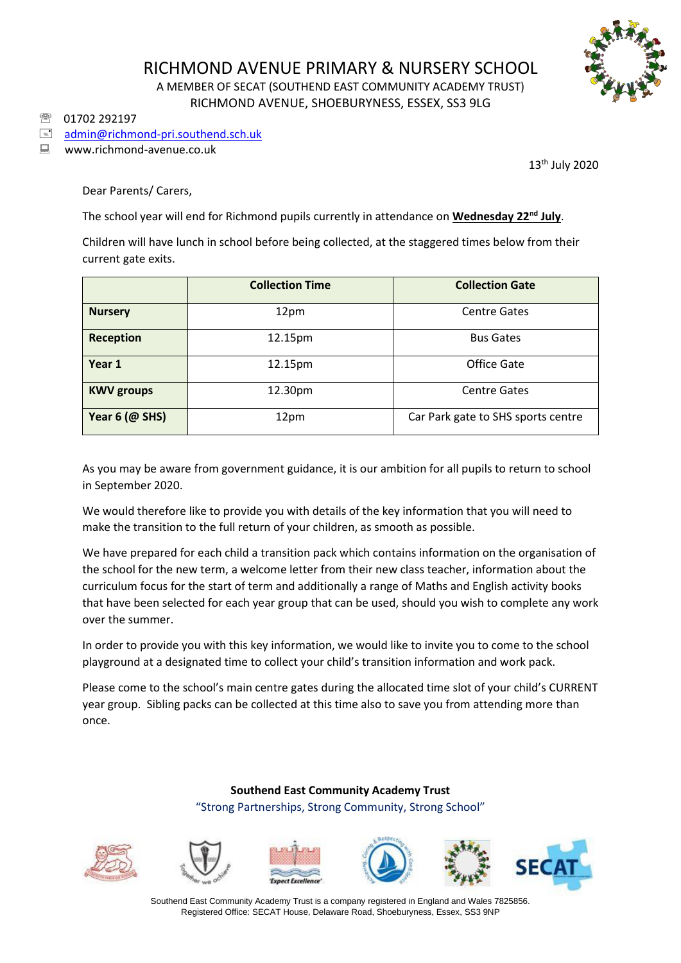

## RICHMOND AVENUE PRIMARY & NURSERY SCHOOL A MEMBER OF SECAT (SOUTHEND EAST COMMUNITY ACADEMY TRUST) RICHMOND AVENUE, SHOEBURYNESS, ESSEX, SS3 9LG

01702 292197

## [admin@richmond-pri.southend.sch.uk](mailto:admin@richmond-pri.southend.sch.uk)

■ www.richmond-avenue.co.uk

13th July 2020

Dear Parents/ Carers,

The school year will end for Richmond pupils currently in attendance on **Wednesday 22nd July**.

Children will have lunch in school before being collected, at the staggered times below from their current gate exits.

|                     | <b>Collection Time</b> | <b>Collection Gate</b>             |  |
|---------------------|------------------------|------------------------------------|--|
| <b>Nursery</b>      | 12pm                   | <b>Centre Gates</b>                |  |
| <b>Reception</b>    | 12.15pm                | <b>Bus Gates</b>                   |  |
| Year 1              | 12.15pm                | Office Gate                        |  |
| <b>KWV groups</b>   | 12.30pm                | <b>Centre Gates</b>                |  |
| Year $6$ ( $@$ SHS) | 12pm                   | Car Park gate to SHS sports centre |  |

As you may be aware from government guidance, it is our ambition for all pupils to return to school in September 2020.

We would therefore like to provide you with details of the key information that you will need to make the transition to the full return of your children, as smooth as possible.

We have prepared for each child a transition pack which contains information on the organisation of the school for the new term, a welcome letter from their new class teacher, information about the curriculum focus for the start of term and additionally a range of Maths and English activity books that have been selected for each year group that can be used, should you wish to complete any work over the summer.

In order to provide you with this key information, we would like to invite you to come to the school playground at a designated time to collect your child's transition information and work pack.

Please come to the school's main centre gates during the allocated time slot of your child's CURRENT year group. Sibling packs can be collected at this time also to save you from attending more than once.

> **Southend East Community Academy Trust** "Strong Partnerships, Strong Community, Strong School"













Southend East Community Academy Trust is a company registered in England and Wales 7825856. Registered Office: SECAT House, Delaware Road, Shoeburyness, Essex, SS3 9NP